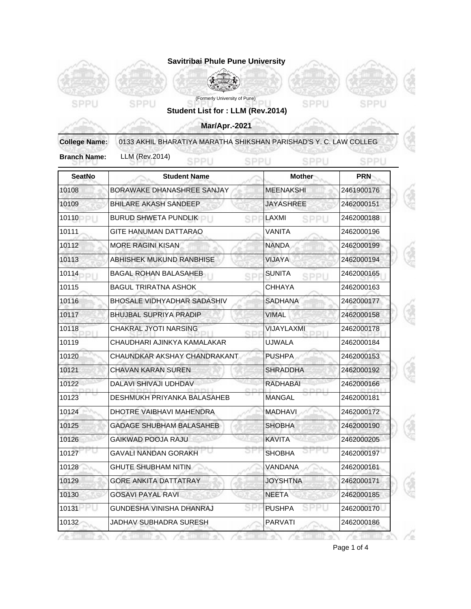|                      | Savitribai Phule Pune University                                  |                       |            |  |  |
|----------------------|-------------------------------------------------------------------|-----------------------|------------|--|--|
|                      |                                                                   |                       |            |  |  |
|                      | (Formerly University of Pune)                                     |                       |            |  |  |
| SPPU                 | SPPU<br>Student List for : LLM (Rev.2014)                         | SPPU                  | SPPU       |  |  |
|                      | <b>Mar/Apr.-2021</b>                                              |                       |            |  |  |
| <b>College Name:</b> | 0133 AKHIL BHARATIYA MARATHA SHIKSHAN PARISHAD'S Y. C. LAW COLLEG |                       |            |  |  |
| <b>Branch Name:</b>  | <b>LLM (Rev.2014)</b><br>SPPU                                     | SPPU<br>SPPLI         | SPPL       |  |  |
| <b>SeatNo</b>        | <b>Student Name</b>                                               | <b>Mother</b>         | <b>PRN</b> |  |  |
| 10108                | BORAWAKE DHANASHREE SANJAY                                        | <b>MEENAKSHI</b>      | 2461900176 |  |  |
| 10109                | <b>BHILARE AKASH SANDEEP</b>                                      | <b>JAYASHREE</b>      | 2462000151 |  |  |
| 10110                | BURUD SHWETA PUNDLIK                                              | LAXMI<br>SPPU<br>SP   | 2462000188 |  |  |
| 10111                | <b>GITE HANUMAN DATTARAO</b>                                      | VANITA                | 2462000196 |  |  |
| 10112                | <b>MORE RAGINI KISAN</b>                                          | <b>NANDA</b>          | 2462000199 |  |  |
| 10113                | ABHISHEK MUKUND RANBHISE                                          | <b>VIJAYA</b>         | 2462000194 |  |  |
| 10114                | <b>BAGAL ROHAN BALASAHEB</b>                                      | <b>SUNITA</b><br>SPPL | 2462000165 |  |  |
| 10115                | <b>BAGUL TRIRATNA ASHOK</b>                                       | <b>CHHAYA</b>         | 2462000163 |  |  |
| 10116                | BHOSALE VIDHYADHAR SADASHIV                                       | <b>SADHANA</b>        | 2462000177 |  |  |
| 10117                | <b>BHUJBAL SUPRIYA PRADIP</b>                                     | <b>VIMAL</b>          | 2462000158 |  |  |
| 10118                | <b>CHAKRAL JYOTI NARSING</b>                                      | <b>VIJAYLAXMI</b>     | 2462000178 |  |  |
| 10119                | CHAUDHARI AJINKYA KAMALAKAR                                       | <b>UJWALA</b>         | 2462000184 |  |  |
| 10120                | CHAUNDKAR AKSHAY CHANDRAKANT                                      | <b>PUSHPA</b>         | 2462000153 |  |  |
| 10121                | <b>CHAVAN KARAN SUREN</b>                                         | <b>SHRADDHA</b>       | 2462000192 |  |  |
| 10122                | DALAVI SHIVAJI UDHDAV                                             | <b>RADHABAI</b>       | 2462000166 |  |  |
| 10123                | DESHMUKH PRIYANKA BALASAHEB                                       | <b>MANGAL</b>         | 2462000181 |  |  |
| 10124                | DHOTRE VAIBHAVI MAHENDRA                                          | <b>MADHAVI</b>        | 2462000172 |  |  |
| 10125                | <b>GADAGE SHUBHAM BALASAHEB</b>                                   | <b>SHOBHA</b>         | 2462000190 |  |  |
| 10126                | <b>GAIKWAD POOJA RAJU</b>                                         | <b>KAVITA</b>         | 2462000205 |  |  |
| 10127                | <b>GAVALI NANDAN GORAKH</b>                                       | 17 U<br><b>SHOBHA</b> | 2462000197 |  |  |
| 10128                | GHUTE SHUBHAM NITIN                                               | VANDANA               | 2462000161 |  |  |
| 10129                | <b>GORE ANKITA DATTATRAY</b>                                      | <b>JOYSHTNA</b>       | 2462000171 |  |  |
| 10130                | <b>GOSAVI PAYAL RAVI</b>                                          | <b>NEETA</b>          | 2462000185 |  |  |
| 10131                | GUNDESHA VINISHA DHANRAJ                                          | <b>PUSHPA</b>         | 2462000170 |  |  |
| 10132                | JADHAV SUBHADRA SURESH                                            | PARVATI               | 2462000186 |  |  |

Page 1 of 4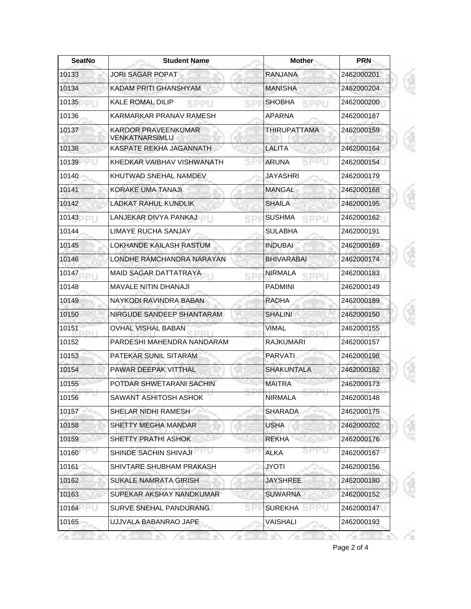| <b>SeatNo</b> | <b>Student Name</b>                          | Mother                                    | <b>PRN</b><br>2462000201 |  |
|---------------|----------------------------------------------|-------------------------------------------|--------------------------|--|
| 10133         | <b>JORI SAGAR POPAT</b>                      | <b>RANJANA</b>                            |                          |  |
| 10134         | KADAM PRITI GHANSHYAM                        | <b>MANISHA</b>                            | 2462000204               |  |
| 10135         | <b>KALE ROMAL DILIP</b><br>SPPU              | <b>SHOBHA</b><br>SPPU<br>SP               | 2462000200               |  |
| 10136         | KARMARKAR PRANAV RAMESH                      | APARNA                                    | 2462000187               |  |
| 10137         | <b>KAROOR PRAVEENKUMAR</b><br>VENKATNARSIMLU | THIRUPATTAMA                              | 2462000159               |  |
| 10138         | KASPATE REKHA JAGANNATH                      | LALITA                                    | 2462000164               |  |
| 10139         | KHEDKAR VAIBHAV VISHWANATH                   | <b>ARUNA</b>                              | 2462000154               |  |
| 10140         | KHUTWAD SNEHAL NAMDEV                        | JAYASHRI                                  | 2462000179               |  |
| 10141         | KORAKE UMA TANAJI                            | <b>MANGAL</b>                             | 2462000168               |  |
| 10142         | <b>LADKAT RAHUL KUNDLIK</b>                  | <b>SHAILA</b>                             | 2462000195               |  |
| 10143         | LANJEKAR DIVYA PANKAJ                        | <b>SUSHMA</b><br>2462000162<br>SPPU<br>SP |                          |  |
| 10144         | LIMAYE RUCHA SANJAY                          | <b>SULABHA</b><br>2462000191              |                          |  |
| 10145         | LOKHANDE KAILASH RASTUM                      | <b>INDUBAI</b>                            | 2462000169               |  |
| 10146         | LONDHE RAMCHANDRA NARAYAN                    | <b>BHIVARABAI</b>                         | 2462000174               |  |
| 10147         | MAID SAGAR DATTATRAYA                        | <b>NIRMALA</b><br>SPPU<br>SP              | 2462000183               |  |
| 10148         | <b>MAVALE NITIN DHANAJI</b>                  | <b>PADMINI</b>                            | 2462000149               |  |
| 10149         | NAYKODI RAVINDRA BABAN                       | <b>RADHA</b>                              | 2462000189               |  |
| 10150         | NIRGUDE SANDEEP SHANTARAM                    | <b>SHALINI</b>                            | 2462000150               |  |
| 10151         | <b>OVHAL VISHAL BABAN</b>                    | <b>VIMAL</b><br><b>GDI</b><br>SDDII       | 2462000155               |  |
| 10152         | PARDESHI MAHENDRA NANDARAM                   | <b>RAJKUMARI</b>                          | 2462000157               |  |
| 10153         | PATEKAR SUNIL SITARAM                        | <b>PARVATI</b>                            | 2462000198               |  |
| 10154         | PAWAR DEEPAK VITTHAL                         | <b>SHAKUNTALA</b>                         | 2462000182               |  |
| 10155         | POTDAR SHWETARANI SACHIN                     | <b>MAITRA</b>                             | 2462000173               |  |
| 10156         | SAWANT ASHITOSH ASHOK                        | <b>NIRMALA</b>                            | 2462000148               |  |
| 10157         | SHELAR NIDHI RAMESH                          | <b>SHARADA</b>                            | 2462000175               |  |
| 10158         | SHETTY MEGHA MANDAR                          | <b>USHA</b>                               | 2462000202               |  |
| 10159         | SHETTY PRATHI ASHOK                          | <b>REKHA</b>                              | 2462000176               |  |
| 10160         | SHINDE SACHIN SHIVAJI                        | ALKA                                      | 2462000167               |  |
| 10161         | SHIVTARE SHUBHAM PRAKASH                     | JYOTI                                     | 2462000156               |  |
| 10162         | <b>SUKALE NAMRATA GIRISH</b>                 | <b>JAYSHREE</b>                           | 2462000180               |  |
| 10163         | SUPEKAR AKSHAY NANDKUMAR                     | <b>SUWARNA</b><br>2462000152              |                          |  |
| 10164         | SURVE SNEHAL PANDURANG                       | <b>SUREKHA</b>                            | 2462000147               |  |
| 10165         | UJJVALA BABANRAO JAPE                        | VAISHALI                                  | 2462000193               |  |

Page 2 of 4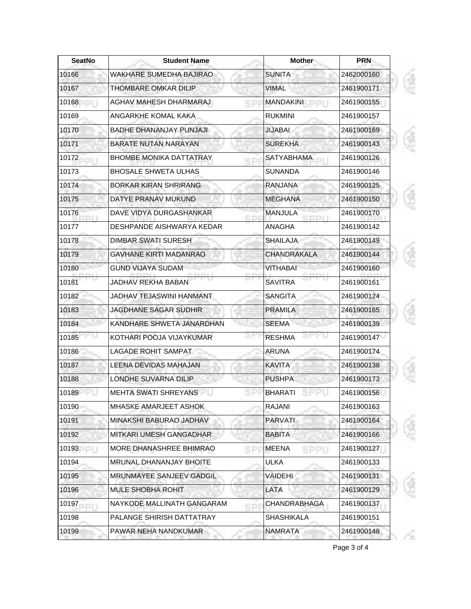| <b>SeatNo</b> | <b>Student Name</b>            | <b>Mother</b>                    | <b>PRN</b> |  |
|---------------|--------------------------------|----------------------------------|------------|--|
| 10166         | <b>WAKHARE SUMEDHA BAJIRAO</b> | <b>SUNITA</b>                    | 2462000160 |  |
| 10167         | THOMBARE OMKAR DILIP           | <b>VIMAL</b>                     | 2461900171 |  |
| 10168         | AGHAV MAHESH DHARMARAJ         | <b>MANDAKINI</b><br>SP           | 2461900155 |  |
| 10169         | ANGARKHE KOMAL KAKA            | <b>RUKMINI</b>                   | 2461900157 |  |
| 10170         | BADHE DHANANJAY PUNJAJI        | <b>JIJABAI</b>                   | 2461900169 |  |
| 10171         | <b>BARATE NUTAN NARAYAN</b>    | <b>SUREKHA</b>                   | 2461900143 |  |
| 10172         | <b>BHOMBE MONIKA DATTATRAY</b> | <b>SATYABHAMA</b><br>SP          | 2461900126 |  |
| 10173         | <b>BHOSALE SHWETA ULHAS</b>    | <b>SUNANDA</b>                   | 2461900146 |  |
| 10174         | <b>BORKAR KIRAN SHRIRANG</b>   | <b>RANJANA</b>                   | 2461900125 |  |
| 10175         | DATYE PRANAV MUKUND            | <b>MEGHANA</b>                   | 2461900150 |  |
| 10176         | DAVE VIDYA DURGASHANKAR        | <b>MANJULA</b><br>SDI<br>3 D D I | 2461900170 |  |
| 10177         | DESHPANDE AISHWARYA KEDAR      | ANAGHA                           | 2461900142 |  |
| 10178         | <b>DIMBAR SWATI SURESH</b>     | <b>SHAILAJA</b>                  | 2461900149 |  |
| 10179         | <b>GAVHANE KIRTI MADANRAO</b>  | CHANDRAKALA                      | 2461900144 |  |
| 10180         | <b>GUND VIJAYA SUDAM</b>       | <b>VITHABAI</b>                  | 2461900160 |  |
| 10181         | JADHAV REKHA BABAN             | <b>SAVITRA</b>                   | 2461900161 |  |
| 10182         | JADHAV TEJASWINI HANMANT       | <b>SANGITA</b>                   | 2461900124 |  |
| 10183         | <b>JAGDHANE SAGAR SUDHIR</b>   | <b>PRAMILA</b>                   | 2461900165 |  |
| 10184         | KANDHARE SHWETA JANARDHAN      | <b>SEEMA</b>                     | 2461900139 |  |
| 10185         | KOTHARI POOJA VIJAYKUMAR       | <b>RESHMA</b>                    | 2461900147 |  |
| 10186         | <b>LAGADE ROHIT SAMPAT</b>     | <b>ARUNA</b>                     | 2461900174 |  |
| 10187         | LEENA DEVIDAS MAHAJAN          | <b>KAVITA</b>                    | 2461900138 |  |
| 10188         | LONDHE SUVARNA DILIP           | <b>PUSHPA</b>                    | 2461900173 |  |
| 10189         | MEHTA SWATI SHREYANS           | <b>BHARATI</b>                   | 2461900156 |  |
| 10190         | MHASKE AMARJEET ASHOK          | <b>RAJANI</b>                    | 2461900163 |  |
| 10191         | MINAKSHI BABURAO JADHAV        | <b>PARVATI</b>                   | 2461900164 |  |
| 10192         | MITKARI UMESH GANGADHAR        | <b>BABITA</b>                    | 2461900166 |  |
| 10193<br>DI I | MORE DHANASHREE BHIMRAO        | <b>MEENA</b><br>SPPU<br>SP       | 2461900127 |  |
| 10194         | MRUNAL DHANANJAY BHOITE        | <b>ULKA</b>                      | 2461900133 |  |
| 10195         | MRUNMAYEE SANJEEV GADGIL       | VAIDEHI                          | 2461900131 |  |
| 10196         | MULE SHOBHA ROHIT              | LATA                             | 2461900129 |  |
| 10197         | NAYKODE MALLINATH GANGARAM     | CHANDRABHAGA<br>SP               | 2461900137 |  |
| 10198         | PALANGE SHIRISH DATTATRAY      | <b>SHASHIKALA</b>                | 2461900151 |  |
| 10199         | PAWAR NEHA NANDKUMAR           | <b>NAMRATA</b>                   | 2461900148 |  |

Page 3 of 4